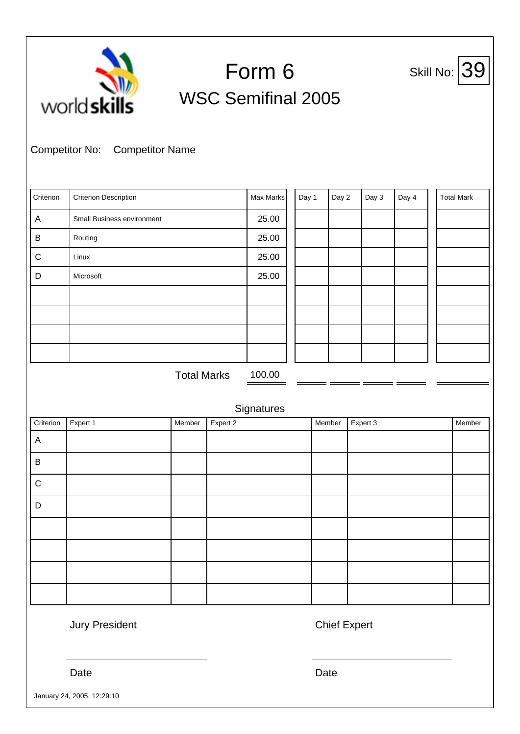| 39<br>Form 6<br>Skill No:<br>world skills<br><b>WSC Semifinal 2005</b><br><b>Competitor No:</b><br><b>Competitor Name</b> |                              |                    |          |            |  |       |        |          |       |  |                   |
|---------------------------------------------------------------------------------------------------------------------------|------------------------------|--------------------|----------|------------|--|-------|--------|----------|-------|--|-------------------|
| Criterion                                                                                                                 | <b>Criterion Description</b> |                    |          | Max Marks  |  | Day 1 | Day 2  | Day 3    | Day 4 |  | <b>Total Mark</b> |
| $\boldsymbol{\mathsf{A}}$                                                                                                 | Small Business environment   |                    |          | 25.00      |  |       |        |          |       |  |                   |
| B                                                                                                                         | Routing                      |                    |          | 25.00      |  |       |        |          |       |  |                   |
| $\mathsf C$                                                                                                               | Linux                        |                    |          | 25.00      |  |       |        |          |       |  |                   |
| D                                                                                                                         | Microsoft                    |                    |          | 25.00      |  |       |        |          |       |  |                   |
|                                                                                                                           |                              |                    |          |            |  |       |        |          |       |  |                   |
|                                                                                                                           |                              |                    |          |            |  |       |        |          |       |  |                   |
|                                                                                                                           |                              |                    |          |            |  |       |        |          |       |  |                   |
|                                                                                                                           |                              |                    |          |            |  |       |        |          |       |  |                   |
|                                                                                                                           |                              | <b>Total Marks</b> |          | 100.00     |  |       |        |          |       |  |                   |
|                                                                                                                           |                              |                    |          | Signatures |  |       |        |          |       |  |                   |
| Criterion                                                                                                                 | Expert 1                     | Member             | Expert 2 |            |  |       | Member | Expert 3 |       |  | Member            |
| $\overline{A}$                                                                                                            |                              |                    |          |            |  |       |        |          |       |  |                   |
| $\sf B$                                                                                                                   |                              |                    |          |            |  |       |        |          |       |  |                   |
| $\mathsf{C}$                                                                                                              |                              |                    |          |            |  |       |        |          |       |  |                   |
| D                                                                                                                         |                              |                    |          |            |  |       |        |          |       |  |                   |
|                                                                                                                           |                              |                    |          |            |  |       |        |          |       |  |                   |
|                                                                                                                           |                              |                    |          |            |  |       |        |          |       |  |                   |
|                                                                                                                           |                              |                    |          |            |  |       |        |          |       |  |                   |
|                                                                                                                           |                              |                    |          |            |  |       |        |          |       |  |                   |
|                                                                                                                           |                              |                    |          |            |  |       |        |          |       |  |                   |

Jury President **Chief Expert** 

Date **Date Date Date Date Date** 

January 24, 2005, 12:29:10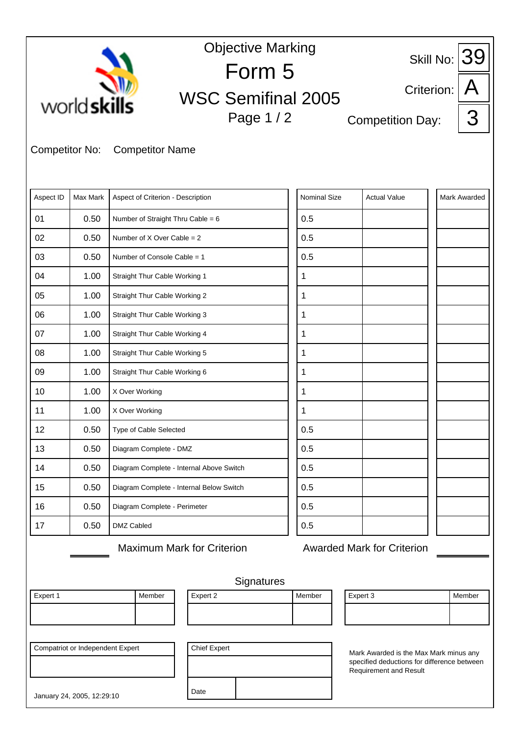| <b>Objective Marking</b><br>Skill No: $39$ |                                                                |                                          |                                   |              |  |                                                                                       |            |              |  |  |
|--------------------------------------------|----------------------------------------------------------------|------------------------------------------|-----------------------------------|--------------|--|---------------------------------------------------------------------------------------|------------|--------------|--|--|
|                                            |                                                                |                                          | Form 5                            |              |  |                                                                                       |            |              |  |  |
|                                            | world skills                                                   |                                          | <b>WSC Semifinal 2005</b>         |              |  |                                                                                       | Criterion: |              |  |  |
|                                            |                                                                |                                          | Page 1 / 2                        |              |  | <b>Competition Day:</b>                                                               |            | З            |  |  |
|                                            |                                                                |                                          |                                   |              |  |                                                                                       |            |              |  |  |
| <b>Competitor No:</b>                      |                                                                | <b>Competitor Name</b>                   |                                   |              |  |                                                                                       |            |              |  |  |
|                                            |                                                                |                                          |                                   |              |  |                                                                                       |            |              |  |  |
| Aspect ID                                  | Max Mark                                                       | Aspect of Criterion - Description        |                                   | Nominal Size |  | <b>Actual Value</b>                                                                   |            | Mark Awarded |  |  |
| 01                                         | 0.50                                                           | Number of Straight Thru Cable = 6        |                                   | 0.5          |  |                                                                                       |            |              |  |  |
| 02                                         | 0.50                                                           | Number of $X$ Over Cable = 2             |                                   | 0.5          |  |                                                                                       |            |              |  |  |
| 03                                         | 0.50                                                           | Number of Console Cable = 1              |                                   | 0.5          |  |                                                                                       |            |              |  |  |
| 04                                         | 1.00                                                           | Straight Thur Cable Working 1            |                                   | 1            |  |                                                                                       |            |              |  |  |
| 05                                         | 1.00                                                           | Straight Thur Cable Working 2            |                                   | 1            |  |                                                                                       |            |              |  |  |
| 06                                         | 1.00                                                           | Straight Thur Cable Working 3            |                                   | 1            |  |                                                                                       |            |              |  |  |
| 07                                         | 1.00                                                           | Straight Thur Cable Working 4            |                                   | 1            |  |                                                                                       |            |              |  |  |
| 08                                         | 1.00                                                           | Straight Thur Cable Working 5            |                                   | 1            |  |                                                                                       |            |              |  |  |
| 09                                         | 1.00                                                           | Straight Thur Cable Working 6            |                                   | 1            |  |                                                                                       |            |              |  |  |
| 10                                         | 1.00                                                           | X Over Working                           |                                   | 1            |  |                                                                                       |            |              |  |  |
| 11                                         | 1.00                                                           | X Over Working                           |                                   | 1            |  |                                                                                       |            |              |  |  |
| 12                                         | 0.50                                                           | Type of Cable Selected                   |                                   | 0.5          |  |                                                                                       |            |              |  |  |
| 13                                         | 0.50                                                           | Diagram Complete - DMZ                   |                                   | 0.5          |  |                                                                                       |            |              |  |  |
| 14                                         | 0.50                                                           | Diagram Complete - Internal Above Switch |                                   | 0.5          |  |                                                                                       |            |              |  |  |
| 15                                         | 0.50                                                           | Diagram Complete - Internal Below Switch |                                   | 0.5          |  |                                                                                       |            |              |  |  |
| 16                                         | 0.50                                                           | Diagram Complete - Perimeter             |                                   | 0.5          |  |                                                                                       |            |              |  |  |
| 17                                         | 0.50                                                           | DMZ Cabled                               |                                   | 0.5          |  |                                                                                       |            |              |  |  |
|                                            |                                                                |                                          | <b>Maximum Mark for Criterion</b> |              |  | <b>Awarded Mark for Criterion</b>                                                     |            |              |  |  |
|                                            |                                                                |                                          |                                   |              |  |                                                                                       |            |              |  |  |
|                                            |                                                                |                                          | Signatures                        |              |  |                                                                                       |            |              |  |  |
| Expert 1                                   |                                                                | Member                                   | Expert 2                          | Member       |  | Expert 3                                                                              |            | Member       |  |  |
|                                            |                                                                |                                          |                                   |              |  |                                                                                       |            |              |  |  |
|                                            |                                                                |                                          |                                   |              |  |                                                                                       |            |              |  |  |
|                                            | <b>Compatriot or Independent Expert</b><br><b>Chief Expert</b> |                                          |                                   |              |  | Mark Awarded is the Max Mark minus any<br>specified deductions for difference between |            |              |  |  |
|                                            |                                                                |                                          |                                   |              |  | <b>Requirement and Result</b>                                                         |            |              |  |  |
|                                            | January 24, 2005, 12:29:10                                     |                                          | Date                              |              |  |                                                                                       |            |              |  |  |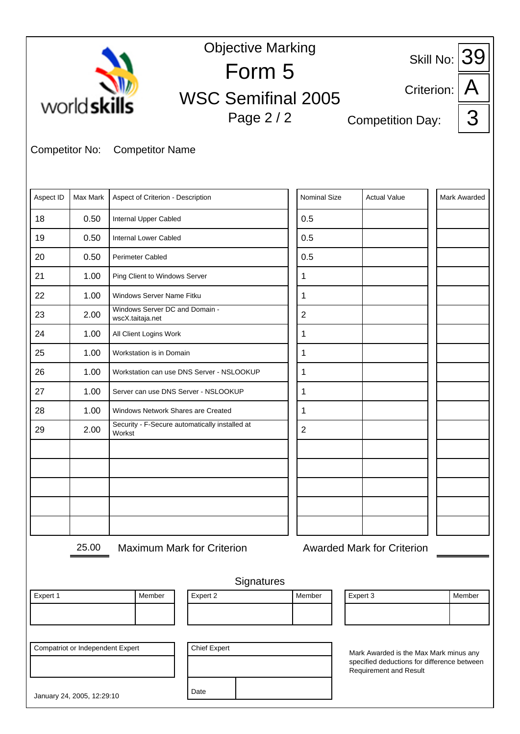|                       |                                         |                                                          |                           | <b>Objective Marking</b> |                |            |                                                                                       |  | 39                  |
|-----------------------|-----------------------------------------|----------------------------------------------------------|---------------------------|--------------------------|----------------|------------|---------------------------------------------------------------------------------------|--|---------------------|
|                       |                                         |                                                          | Form 5                    |                          |                | Skill No:  |                                                                                       |  |                     |
|                       |                                         |                                                          | <b>WSC Semifinal 2005</b> |                          |                | Criterion: |                                                                                       |  |                     |
|                       | world skills                            |                                                          |                           | Page 2 / 2               |                |            | <b>Competition Day:</b>                                                               |  | З                   |
|                       |                                         |                                                          |                           |                          |                |            |                                                                                       |  |                     |
| <b>Competitor No:</b> |                                         | <b>Competitor Name</b>                                   |                           |                          |                |            |                                                                                       |  |                     |
|                       |                                         |                                                          |                           |                          |                |            |                                                                                       |  |                     |
| Aspect ID             | Max Mark                                | Aspect of Criterion - Description                        |                           |                          | Nominal Size   |            | <b>Actual Value</b>                                                                   |  | <b>Mark Awarded</b> |
| 18                    | 0.50                                    | Internal Upper Cabled                                    |                           |                          | 0.5            |            |                                                                                       |  |                     |
| 19                    | 0.50                                    | Internal Lower Cabled                                    |                           |                          | 0.5            |            |                                                                                       |  |                     |
| 20                    | 0.50                                    | <b>Perimeter Cabled</b>                                  |                           |                          | 0.5            |            |                                                                                       |  |                     |
| 21                    | 1.00                                    | Ping Client to Windows Server                            |                           |                          | 1              |            |                                                                                       |  |                     |
| 22                    | 1.00                                    | Windows Server Name Fitku                                |                           |                          | 1              |            |                                                                                       |  |                     |
| 23                    | 2.00                                    | Windows Server DC and Domain -<br>wscX.taitaja.net       |                           |                          | $\overline{2}$ |            |                                                                                       |  |                     |
| 24                    | 1.00                                    | All Client Logins Work                                   |                           |                          | 1              |            |                                                                                       |  |                     |
| 25                    | 1.00                                    | Workstation is in Domain                                 |                           |                          | 1              |            |                                                                                       |  |                     |
| 26                    | 1.00                                    | Workstation can use DNS Server - NSLOOKUP                |                           |                          | 1              |            |                                                                                       |  |                     |
| 27                    | 1.00                                    | Server can use DNS Server - NSLOOKUP                     |                           |                          | 1              |            |                                                                                       |  |                     |
| 28                    | 1.00                                    | Windows Network Shares are Created                       |                           |                          | 1              |            |                                                                                       |  |                     |
| 29                    | 2.00                                    | Security - F-Secure automatically installed at<br>Workst |                           |                          | $\overline{2}$ |            |                                                                                       |  |                     |
|                       |                                         |                                                          |                           |                          |                |            |                                                                                       |  |                     |
|                       |                                         |                                                          |                           |                          |                |            |                                                                                       |  |                     |
|                       |                                         |                                                          |                           |                          |                |            |                                                                                       |  |                     |
|                       |                                         |                                                          |                           |                          |                |            |                                                                                       |  |                     |
|                       |                                         |                                                          |                           |                          |                |            |                                                                                       |  |                     |
|                       | 25.00                                   | <b>Maximum Mark for Criterion</b>                        |                           |                          |                |            | <b>Awarded Mark for Criterion</b>                                                     |  |                     |
|                       |                                         |                                                          |                           |                          |                |            |                                                                                       |  |                     |
|                       |                                         |                                                          |                           | Signatures               |                |            |                                                                                       |  |                     |
| Expert 1              |                                         | Member                                                   | Expert 2                  |                          | Member         |            | Expert 3                                                                              |  | Member              |
|                       |                                         |                                                          |                           |                          |                |            |                                                                                       |  |                     |
|                       |                                         |                                                          |                           |                          |                |            |                                                                                       |  |                     |
|                       | <b>Compatriot or Independent Expert</b> |                                                          |                           | <b>Chief Expert</b>      |                |            | Mark Awarded is the Max Mark minus any<br>specified deductions for difference between |  |                     |
|                       |                                         |                                                          |                           |                          |                |            | Requirement and Result                                                                |  |                     |
|                       | January 24, 2005, 12:29:10              |                                                          | Date                      |                          |                |            |                                                                                       |  |                     |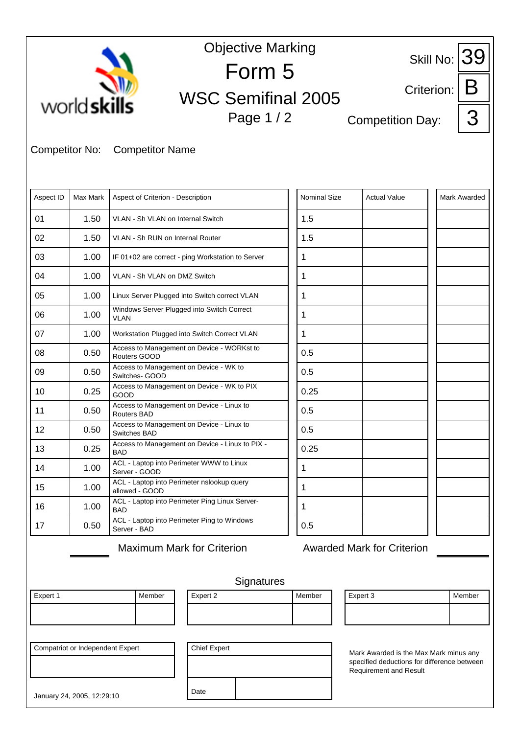|                                                                                                                                                                                          | <b>Objective Marking</b><br>39<br>Skill No: |                                                               |                           |                     |                                   |                     |  |  |  |  |  |  |
|------------------------------------------------------------------------------------------------------------------------------------------------------------------------------------------|---------------------------------------------|---------------------------------------------------------------|---------------------------|---------------------|-----------------------------------|---------------------|--|--|--|--|--|--|
|                                                                                                                                                                                          |                                             |                                                               | Form 5                    |                     |                                   |                     |  |  |  |  |  |  |
|                                                                                                                                                                                          |                                             |                                                               | <b>WSC Semifinal 2005</b> |                     | Criterion:                        |                     |  |  |  |  |  |  |
|                                                                                                                                                                                          | world skills                                |                                                               | Page 1 / 2                |                     | <b>Competition Day:</b>           | 3                   |  |  |  |  |  |  |
| <b>Competitor No:</b>                                                                                                                                                                    |                                             | <b>Competitor Name</b>                                        |                           |                     |                                   |                     |  |  |  |  |  |  |
| Aspect ID                                                                                                                                                                                | Max Mark                                    | Aspect of Criterion - Description                             |                           | <b>Nominal Size</b> | <b>Actual Value</b>               | <b>Mark Awarded</b> |  |  |  |  |  |  |
| 01                                                                                                                                                                                       | 1.50                                        | VLAN - Sh VLAN on Internal Switch                             |                           | 1.5                 |                                   |                     |  |  |  |  |  |  |
| 02                                                                                                                                                                                       | 1.50                                        | VLAN - Sh RUN on Internal Router                              |                           | 1.5                 |                                   |                     |  |  |  |  |  |  |
| 03                                                                                                                                                                                       | 1.00                                        | IF 01+02 are correct - ping Workstation to Server             |                           | 1                   |                                   |                     |  |  |  |  |  |  |
| 04                                                                                                                                                                                       | 1.00                                        | VLAN - Sh VLAN on DMZ Switch                                  |                           | 1                   |                                   |                     |  |  |  |  |  |  |
| 05                                                                                                                                                                                       | 1.00                                        | Linux Server Plugged into Switch correct VLAN                 |                           | 1                   |                                   |                     |  |  |  |  |  |  |
| 06                                                                                                                                                                                       | 1.00                                        | Windows Server Plugged into Switch Correct<br><b>VLAN</b>     |                           | $\mathbf{1}$        |                                   |                     |  |  |  |  |  |  |
| 07                                                                                                                                                                                       | 1.00                                        | Workstation Plugged into Switch Correct VLAN                  |                           | 1                   |                                   |                     |  |  |  |  |  |  |
| 08                                                                                                                                                                                       | 0.50                                        | Access to Management on Device - WORKst to<br>Routers GOOD    |                           | 0.5                 |                                   |                     |  |  |  |  |  |  |
| 09                                                                                                                                                                                       | 0.50                                        | Access to Management on Device - WK to<br>Switches- GOOD      |                           | 0.5                 |                                   |                     |  |  |  |  |  |  |
| 10                                                                                                                                                                                       | 0.25                                        | Access to Management on Device - WK to PIX<br>GOOD            |                           | 0.25                |                                   |                     |  |  |  |  |  |  |
| 11                                                                                                                                                                                       | 0.50                                        | Access to Management on Device - Linux to<br>Routers BAD      |                           | 0.5                 |                                   |                     |  |  |  |  |  |  |
| 12                                                                                                                                                                                       | 0.50                                        | Access to Management on Device - Linux to<br>Switches BAD     |                           | 0.5                 |                                   |                     |  |  |  |  |  |  |
| 13                                                                                                                                                                                       | 0.25                                        | Access to Management on Device - Linux to PIX -<br><b>BAD</b> |                           | 0.25                |                                   |                     |  |  |  |  |  |  |
| 14                                                                                                                                                                                       | 1.00                                        | ACL - Laptop into Perimeter WWW to Linux<br>Server - GOOD     |                           | 1                   |                                   |                     |  |  |  |  |  |  |
| 15                                                                                                                                                                                       | 1.00                                        | ACL - Laptop into Perimeter nslookup query<br>allowed - GOOD  |                           | 1                   |                                   |                     |  |  |  |  |  |  |
| 16                                                                                                                                                                                       | 1.00                                        | ACL - Laptop into Perimeter Ping Linux Server-<br><b>BAD</b>  |                           | 1                   |                                   |                     |  |  |  |  |  |  |
| 17                                                                                                                                                                                       | 0.50                                        | ACL - Laptop into Perimeter Ping to Windows<br>Server - BAD   |                           | 0.5                 |                                   |                     |  |  |  |  |  |  |
|                                                                                                                                                                                          |                                             | <b>Maximum Mark for Criterion</b>                             |                           |                     | <b>Awarded Mark for Criterion</b> |                     |  |  |  |  |  |  |
|                                                                                                                                                                                          |                                             |                                                               |                           |                     |                                   |                     |  |  |  |  |  |  |
|                                                                                                                                                                                          |                                             |                                                               | Signatures                |                     |                                   |                     |  |  |  |  |  |  |
| Expert 1                                                                                                                                                                                 |                                             | Expert 2<br>Member                                            |                           | Member              | Expert 3                          | Member              |  |  |  |  |  |  |
|                                                                                                                                                                                          |                                             |                                                               |                           |                     |                                   |                     |  |  |  |  |  |  |
|                                                                                                                                                                                          |                                             |                                                               |                           |                     |                                   |                     |  |  |  |  |  |  |
| <b>Compatriot or Independent Expert</b><br><b>Chief Expert</b><br>Mark Awarded is the Max Mark minus any<br>specified deductions for difference between<br><b>Requirement and Result</b> |                                             |                                                               |                           |                     |                                   |                     |  |  |  |  |  |  |
|                                                                                                                                                                                          | January 24, 2005, 12:29:10                  | Date                                                          |                           |                     |                                   |                     |  |  |  |  |  |  |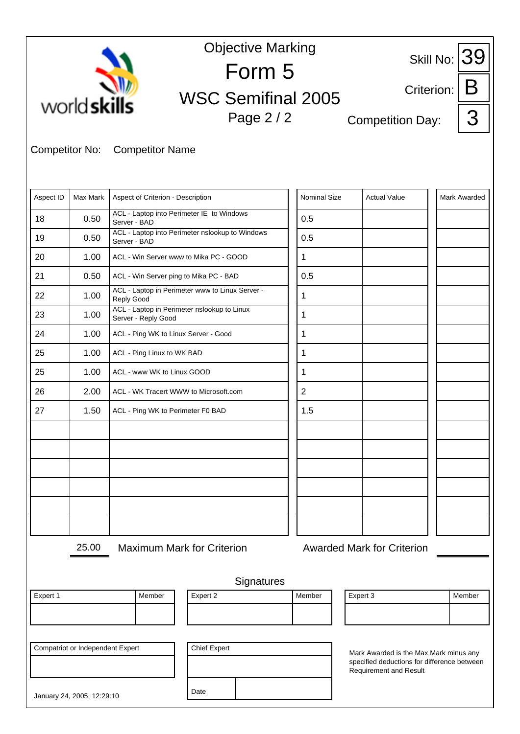|                       |                                         |                                                           | <b>Objective Marking</b>                        |  |                     |                         |                                                                                       |                     |
|-----------------------|-----------------------------------------|-----------------------------------------------------------|-------------------------------------------------|--|---------------------|-------------------------|---------------------------------------------------------------------------------------|---------------------|
|                       |                                         |                                                           | Form 5                                          |  |                     | 39<br>Skill No:         |                                                                                       |                     |
|                       |                                         |                                                           |                                                 |  |                     |                         | Criterion:                                                                            |                     |
| world skills          |                                         |                                                           | <b>WSC Semifinal 2005</b><br>Page 2 / 2         |  |                     | <b>Competition Day:</b> |                                                                                       | 3                   |
|                       |                                         |                                                           |                                                 |  |                     |                         |                                                                                       |                     |
| <b>Competitor No:</b> |                                         | <b>Competitor Name</b>                                    |                                                 |  |                     |                         |                                                                                       |                     |
|                       |                                         |                                                           |                                                 |  |                     |                         |                                                                                       |                     |
| Aspect ID             | Max Mark                                | Aspect of Criterion - Description                         |                                                 |  | <b>Nominal Size</b> |                         | <b>Actual Value</b>                                                                   | <b>Mark Awarded</b> |
| 18                    | 0.50                                    | ACL - Laptop into Perimeter IE to Windows<br>Server - BAD |                                                 |  | 0.5                 |                         |                                                                                       |                     |
| 19                    | 0.50                                    | Server - BAD                                              | ACL - Laptop into Perimeter nslookup to Windows |  | 0.5                 |                         |                                                                                       |                     |
| 20                    | 1.00                                    | ACL - Win Server www to Mika PC - GOOD                    |                                                 |  | 1                   |                         |                                                                                       |                     |
| 21                    | 0.50                                    | ACL - Win Server ping to Mika PC - BAD                    |                                                 |  | 0.5                 |                         |                                                                                       |                     |
| 22                    | 1.00                                    | <b>Reply Good</b>                                         | ACL - Laptop in Perimeter www to Linux Server - |  | $\mathbf{1}$        |                         |                                                                                       |                     |
| 23                    | 1.00                                    | Server - Reply Good                                       | ACL - Laptop in Perimeter nslookup to Linux     |  | 1                   |                         |                                                                                       |                     |
| 24                    | 1.00                                    | ACL - Ping WK to Linux Server - Good                      |                                                 |  | $\mathbf{1}$        |                         |                                                                                       |                     |
| 25                    | 1.00                                    | ACL - Ping Linux to WK BAD                                |                                                 |  | 1                   |                         |                                                                                       |                     |
| 25                    | 1.00                                    | ACL - www WK to Linux GOOD                                |                                                 |  | 1                   |                         |                                                                                       |                     |
| 26                    | 2.00                                    | ACL - WK Tracert WWW to Microsoft.com                     |                                                 |  | $\overline{2}$      |                         |                                                                                       |                     |
| 27                    | 1.50                                    | ACL - Ping WK to Perimeter F0 BAD                         |                                                 |  | 1.5                 |                         |                                                                                       |                     |
|                       |                                         |                                                           |                                                 |  |                     |                         |                                                                                       |                     |
|                       |                                         |                                                           |                                                 |  |                     |                         |                                                                                       |                     |
|                       |                                         |                                                           |                                                 |  |                     |                         |                                                                                       |                     |
|                       |                                         |                                                           |                                                 |  |                     |                         |                                                                                       |                     |
|                       |                                         |                                                           |                                                 |  |                     |                         |                                                                                       |                     |
|                       |                                         |                                                           |                                                 |  |                     |                         |                                                                                       |                     |
|                       | 25.00                                   |                                                           | <b>Maximum Mark for Criterion</b>               |  |                     |                         | <b>Awarded Mark for Criterion</b>                                                     |                     |
|                       |                                         |                                                           |                                                 |  |                     |                         |                                                                                       |                     |
|                       |                                         |                                                           | Signatures                                      |  |                     |                         |                                                                                       |                     |
| Expert 1              |                                         | Member                                                    | Expert 2                                        |  | Member              | Expert 3                |                                                                                       | Member              |
|                       |                                         |                                                           |                                                 |  |                     |                         |                                                                                       |                     |
|                       | <b>Compatriot or Independent Expert</b> |                                                           | <b>Chief Expert</b>                             |  |                     |                         |                                                                                       |                     |
|                       |                                         |                                                           |                                                 |  |                     |                         | Mark Awarded is the Max Mark minus any<br>specified deductions for difference between |                     |
|                       |                                         |                                                           |                                                 |  |                     |                         | <b>Requirement and Result</b>                                                         |                     |
|                       | January 24, 2005, 12:29:10              |                                                           | Date                                            |  |                     |                         |                                                                                       |                     |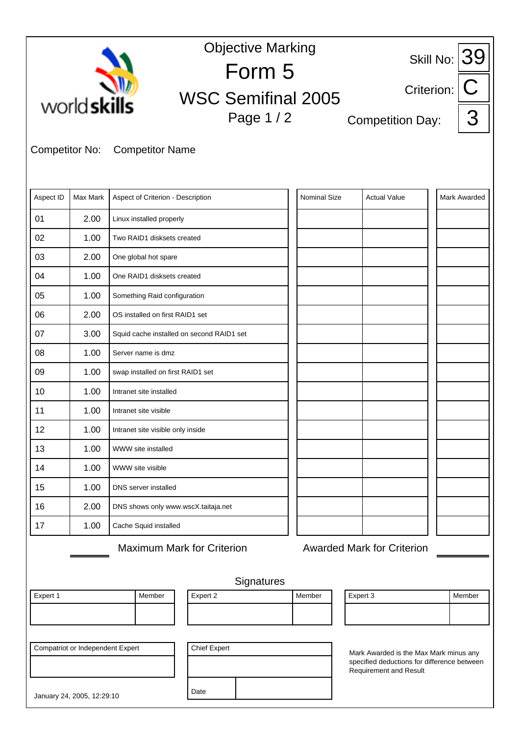|                                                                                                                                                         | <b>Objective Marking</b><br>Skill No: $39$ |                                           |                                   |        |                     |                                   |                     |   |  |  |  |
|---------------------------------------------------------------------------------------------------------------------------------------------------------|--------------------------------------------|-------------------------------------------|-----------------------------------|--------|---------------------|-----------------------------------|---------------------|---|--|--|--|
|                                                                                                                                                         |                                            |                                           | Form 5                            |        |                     |                                   |                     |   |  |  |  |
|                                                                                                                                                         | world skills                               |                                           | <b>WSC Semifinal 2005</b>         |        |                     | Criterion:                        |                     |   |  |  |  |
|                                                                                                                                                         |                                            |                                           | Page 1/2                          |        |                     | <b>Competition Day:</b>           |                     | З |  |  |  |
|                                                                                                                                                         |                                            |                                           |                                   |        |                     |                                   |                     |   |  |  |  |
| <b>Competitor No:</b>                                                                                                                                   |                                            | <b>Competitor Name</b>                    |                                   |        |                     |                                   |                     |   |  |  |  |
|                                                                                                                                                         |                                            |                                           |                                   |        |                     |                                   |                     |   |  |  |  |
| Aspect ID                                                                                                                                               | Max Mark                                   | Aspect of Criterion - Description         |                                   |        | <b>Nominal Size</b> | <b>Actual Value</b>               | <b>Mark Awarded</b> |   |  |  |  |
| 01                                                                                                                                                      | 2.00                                       | Linux installed properly                  |                                   |        |                     |                                   |                     |   |  |  |  |
| 02                                                                                                                                                      | 1.00                                       | Two RAID1 disksets created                |                                   |        |                     |                                   |                     |   |  |  |  |
| 03                                                                                                                                                      | 2.00                                       | One global hot spare                      |                                   |        |                     |                                   |                     |   |  |  |  |
| 04                                                                                                                                                      | 1.00                                       | One RAID1 disksets created                |                                   |        |                     |                                   |                     |   |  |  |  |
| 05                                                                                                                                                      | 1.00                                       | Something Raid configuration              |                                   |        |                     |                                   |                     |   |  |  |  |
| 06                                                                                                                                                      | 2.00                                       | OS installed on first RAID1 set           |                                   |        |                     |                                   |                     |   |  |  |  |
| 07                                                                                                                                                      | 3.00                                       | Squid cache installed on second RAID1 set |                                   |        |                     |                                   |                     |   |  |  |  |
| 08                                                                                                                                                      | 1.00                                       | Server name is dmz                        |                                   |        |                     |                                   |                     |   |  |  |  |
| 09                                                                                                                                                      | 1.00                                       | swap installed on first RAID1 set         |                                   |        |                     |                                   |                     |   |  |  |  |
| 10                                                                                                                                                      | 1.00                                       | Intranet site installed                   |                                   |        |                     |                                   |                     |   |  |  |  |
| 11                                                                                                                                                      | 1.00                                       | Intranet site visible                     |                                   |        |                     |                                   |                     |   |  |  |  |
| 12                                                                                                                                                      | 1.00                                       | Intranet site visible only inside         |                                   |        |                     |                                   |                     |   |  |  |  |
| 13                                                                                                                                                      | 1.00                                       | WWW site installed                        |                                   |        |                     |                                   |                     |   |  |  |  |
| 14                                                                                                                                                      | 1.00                                       | WWW site visible                          |                                   |        |                     |                                   |                     |   |  |  |  |
| 15                                                                                                                                                      | 1.00                                       | DNS server installed                      |                                   |        |                     |                                   |                     |   |  |  |  |
| 16                                                                                                                                                      | 2.00                                       | DNS shows only www.wscX.taitaja.net       |                                   |        |                     |                                   |                     |   |  |  |  |
| 17                                                                                                                                                      | 1.00                                       | Cache Squid installed                     |                                   |        |                     |                                   |                     |   |  |  |  |
|                                                                                                                                                         |                                            |                                           | <b>Maximum Mark for Criterion</b> |        |                     | <b>Awarded Mark for Criterion</b> |                     |   |  |  |  |
|                                                                                                                                                         |                                            |                                           |                                   |        |                     |                                   |                     |   |  |  |  |
|                                                                                                                                                         |                                            |                                           | Signatures                        |        |                     |                                   |                     |   |  |  |  |
| Expert 1                                                                                                                                                |                                            | Member                                    | Expert 2                          | Member |                     | Expert 3                          | Member              |   |  |  |  |
|                                                                                                                                                         |                                            |                                           |                                   |        |                     |                                   |                     |   |  |  |  |
|                                                                                                                                                         |                                            |                                           |                                   |        |                     |                                   |                     |   |  |  |  |
| <b>Compatriot or Independent Expert</b><br><b>Chief Expert</b><br>Mark Awarded is the Max Mark minus any<br>specified deductions for difference between |                                            |                                           |                                   |        |                     |                                   |                     |   |  |  |  |
| <b>Requirement and Result</b>                                                                                                                           |                                            |                                           |                                   |        |                     |                                   |                     |   |  |  |  |
|                                                                                                                                                         | January 24, 2005, 12:29:10                 |                                           | Date                              |        |                     |                                   |                     |   |  |  |  |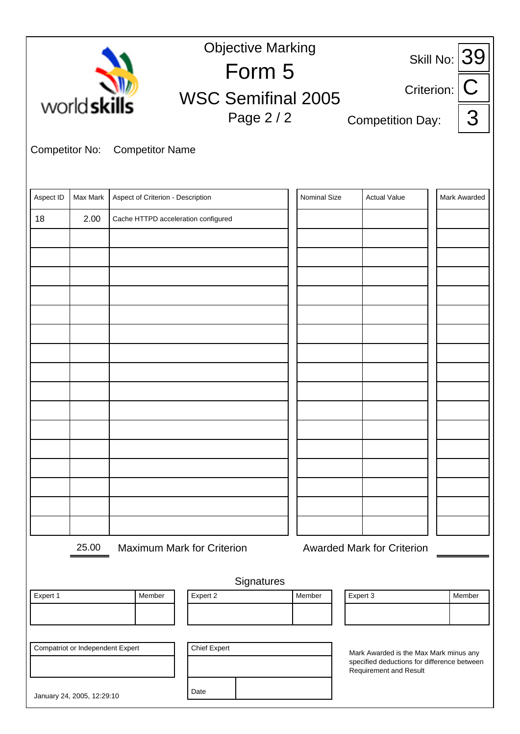|                       | <b>Objective Marking</b><br>Skill No: $39$ |                                     |                                         |              |                                            |                                        |                                             |  |  |  |  |
|-----------------------|--------------------------------------------|-------------------------------------|-----------------------------------------|--------------|--------------------------------------------|----------------------------------------|---------------------------------------------|--|--|--|--|
|                       |                                            |                                     | Form 5                                  |              | C                                          |                                        |                                             |  |  |  |  |
|                       | world skills                               |                                     | <b>WSC Semifinal 2005</b><br>Page 2 / 2 |              | Criterion:<br>3<br><b>Competition Day:</b> |                                        |                                             |  |  |  |  |
| <b>Competitor No:</b> |                                            | <b>Competitor Name</b>              |                                         |              |                                            |                                        |                                             |  |  |  |  |
| Aspect ID             | Max Mark                                   | Aspect of Criterion - Description   |                                         | Nominal Size |                                            | <b>Actual Value</b>                    | Mark Awarded                                |  |  |  |  |
| 18                    | 2.00                                       | Cache HTTPD acceleration configured |                                         |              |                                            |                                        |                                             |  |  |  |  |
|                       |                                            |                                     |                                         |              |                                            |                                        |                                             |  |  |  |  |
|                       |                                            |                                     |                                         |              |                                            |                                        |                                             |  |  |  |  |
|                       |                                            |                                     |                                         |              |                                            |                                        |                                             |  |  |  |  |
|                       |                                            |                                     |                                         |              |                                            |                                        |                                             |  |  |  |  |
|                       |                                            |                                     |                                         |              |                                            |                                        |                                             |  |  |  |  |
|                       |                                            |                                     |                                         |              |                                            |                                        |                                             |  |  |  |  |
|                       |                                            |                                     |                                         |              |                                            |                                        |                                             |  |  |  |  |
|                       |                                            |                                     |                                         |              |                                            |                                        |                                             |  |  |  |  |
|                       |                                            |                                     |                                         |              |                                            |                                        |                                             |  |  |  |  |
|                       |                                            |                                     |                                         |              |                                            |                                        |                                             |  |  |  |  |
|                       |                                            |                                     |                                         |              |                                            |                                        |                                             |  |  |  |  |
|                       |                                            |                                     |                                         |              |                                            |                                        |                                             |  |  |  |  |
|                       |                                            |                                     |                                         |              |                                            |                                        |                                             |  |  |  |  |
|                       | 25.00                                      |                                     | <b>Maximum Mark for Criterion</b>       |              | <b>Awarded Mark for Criterion</b>          |                                        |                                             |  |  |  |  |
|                       |                                            |                                     | Signatures                              |              |                                            |                                        |                                             |  |  |  |  |
| Expert 1              |                                            | Member                              | Expert 2                                | Member       | Expert 3                                   |                                        | Member                                      |  |  |  |  |
|                       |                                            |                                     |                                         |              |                                            |                                        |                                             |  |  |  |  |
|                       | Compatriot or Independent Expert           |                                     | <b>Chief Expert</b>                     |              |                                            | Mark Awarded is the Max Mark minus any |                                             |  |  |  |  |
|                       |                                            |                                     |                                         |              |                                            |                                        | specified deductions for difference between |  |  |  |  |
|                       | January 24, 2005, 12:29:10                 |                                     | Date                                    |              |                                            |                                        |                                             |  |  |  |  |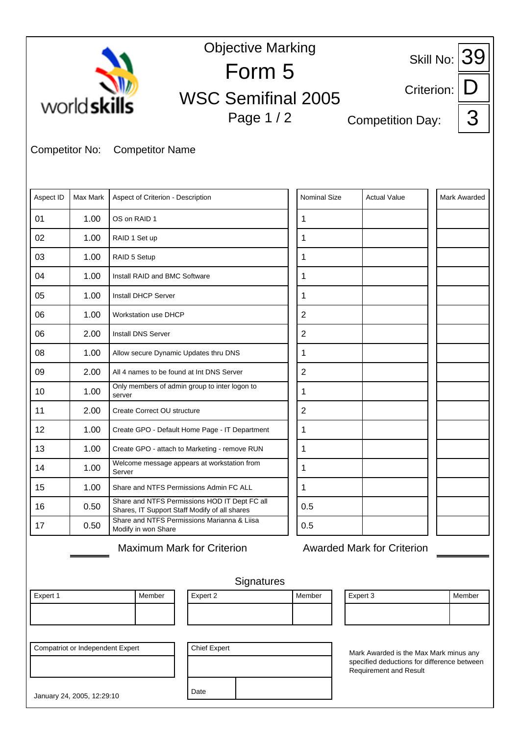| <b>Objective Marking</b><br>Skill No: $39$                            |          |                                                         |                                                |                     |          |                                                                                                                        |            |              |  |
|-----------------------------------------------------------------------|----------|---------------------------------------------------------|------------------------------------------------|---------------------|----------|------------------------------------------------------------------------------------------------------------------------|------------|--------------|--|
| world skills                                                          |          |                                                         | Form 5<br><b>WSC Semifinal 2005</b>            |                     |          |                                                                                                                        | Criterion: |              |  |
|                                                                       |          |                                                         | Page 1 / 2                                     |                     |          | <b>Competition Day:</b>                                                                                                |            | 3            |  |
| <b>Competitor No:</b>                                                 |          | <b>Competitor Name</b>                                  |                                                |                     |          |                                                                                                                        |            |              |  |
| Aspect ID                                                             | Max Mark | Aspect of Criterion - Description                       |                                                | <b>Nominal Size</b> |          | <b>Actual Value</b>                                                                                                    |            | Mark Awarded |  |
| 01                                                                    | 1.00     | OS on RAID 1                                            |                                                | 1                   |          |                                                                                                                        |            |              |  |
| 02                                                                    | 1.00     | RAID 1 Set up                                           |                                                | 1                   |          |                                                                                                                        |            |              |  |
| 03                                                                    | 1.00     | RAID 5 Setup                                            |                                                | 1                   |          |                                                                                                                        |            |              |  |
| 04                                                                    | 1.00     | Install RAID and BMC Software                           |                                                | 1                   |          |                                                                                                                        |            |              |  |
| 05                                                                    | 1.00     | <b>Install DHCP Server</b>                              |                                                | 1                   |          |                                                                                                                        |            |              |  |
| 06                                                                    | 1.00     | <b>Workstation use DHCP</b>                             |                                                | $\overline{2}$      |          |                                                                                                                        |            |              |  |
| 06                                                                    | 2.00     | <b>Install DNS Server</b>                               |                                                | $\overline{2}$      |          |                                                                                                                        |            |              |  |
| 08                                                                    | 1.00     | Allow secure Dynamic Updates thru DNS                   |                                                | 1                   |          |                                                                                                                        |            |              |  |
| 09                                                                    | 2.00     | All 4 names to be found at Int DNS Server               |                                                | $\overline{2}$      |          |                                                                                                                        |            |              |  |
| 10                                                                    | 1.00     | Only members of admin group to inter logon to<br>server |                                                | 1                   |          |                                                                                                                        |            |              |  |
| 11                                                                    | 2.00     | Create Correct OU structure                             |                                                | $\overline{2}$      |          |                                                                                                                        |            |              |  |
| 12                                                                    | 1.00     |                                                         | Create GPO - Default Home Page - IT Department | 1                   |          |                                                                                                                        |            |              |  |
| 13                                                                    | 1.00     |                                                         | Create GPO - attach to Marketing - remove RUN  | 1                   |          |                                                                                                                        |            |              |  |
| 14                                                                    | 1.00     | Server                                                  | Welcome message appears at workstation from    | 1                   |          |                                                                                                                        |            |              |  |
| 15                                                                    | 1.00     | Share and NTFS Permissions Admin FC ALL                 |                                                | 1                   |          |                                                                                                                        |            |              |  |
| 16                                                                    | 0.50     | Shares, IT Support Staff Modify of all shares           | Share and NTFS Permissions HOD IT Dept FC all  | 0.5                 |          |                                                                                                                        |            |              |  |
| 17                                                                    | 0.50     | Modify in won Share                                     | Share and NTFS Permissions Marianna & Liisa    | 0.5                 |          |                                                                                                                        |            |              |  |
|                                                                       |          | <b>Maximum Mark for Criterion</b>                       |                                                |                     |          | <b>Awarded Mark for Criterion</b>                                                                                      |            |              |  |
|                                                                       |          |                                                         | Signatures                                     |                     |          |                                                                                                                        |            |              |  |
| Expert 1                                                              |          | Member                                                  | Expert 2                                       | Member              | Expert 3 |                                                                                                                        |            | Member       |  |
|                                                                       |          |                                                         |                                                |                     |          |                                                                                                                        |            |              |  |
| <b>Compatriot or Independent Expert</b><br>January 24, 2005, 12:29:10 |          |                                                         | <b>Chief Expert</b><br>Date                    |                     |          | Mark Awarded is the Max Mark minus any<br>specified deductions for difference between<br><b>Requirement and Result</b> |            |              |  |